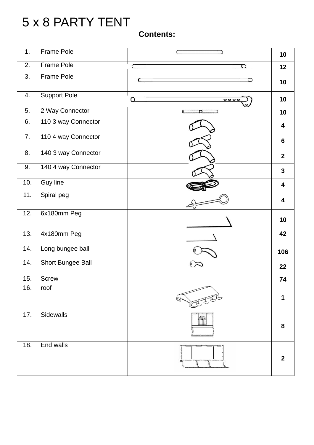# 5 x 8 PARTY TENT

### **Contents:**

| 1.                | Frame Pole               | 7         | 10                      |
|-------------------|--------------------------|-----------|-------------------------|
| 2.                | Frame Pole               | O         | 12                      |
| 3.                | Frame Pole               | ○         | 10                      |
| 4.                | <b>Support Pole</b>      | Q<br>0000 | 10                      |
| 5.                | 2 Way Connector          | ſ<br>'n   | 10                      |
| 6.                | 110 3 way Connector      |           | $\overline{\mathbf{4}}$ |
| 7.                | 110 4 way Connector      |           | $6\phantom{a}$          |
| 8.                | 140 3 way Connector      |           | $\overline{2}$          |
| 9.                | 140 4 way Connector      |           | $\mathbf{3}$            |
| 10.               | <b>Guy line</b>          |           | 4                       |
| 11.               | Spiral peg               |           | 4                       |
| 12.               | 6x180mm Peg              |           | 10                      |
| $\overline{13}$ . | 4x180mm Peg              |           | 42                      |
| 14.               | Long bungee ball         |           | 106                     |
| 14.               | <b>Short Bungee Ball</b> |           | 22                      |
| 15.               | <b>Screw</b>             |           | 74                      |
| 16.               | roof                     |           | 1                       |
| 17.               | Sidewalls                |           | 8                       |
| 18.               | End walls                |           | $\mathbf{2}$            |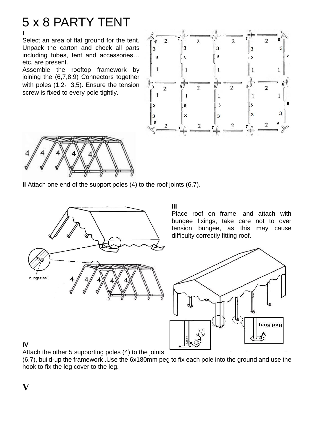## 5 x 8 PARTY TENT **I**

Select an area of flat ground for the tent. Unpack the carton and check all parts including tubes, tent and accessories… etc. are present.

Assemble the rooftop framework by joining the (6,7,8,9) Connectors together with poles  $(1,2,3,5)$ . Ensure the tension screw is fixed to every pole tightly.





**II** Attach one end of the support poles (4) to the roof joints (6,7).



**III**

Place roof on frame, and attach with bungee fixings, take care not to over tension bungee, as this may cause difficulty correctly fitting roof.



#### **IV**

Attach the other 5 supporting poles (4) to the joints

(6,7), build-up the framework .Use the 6x180mm peg to fix each pole into the ground and use the hook to fix the leg cover to the leg.